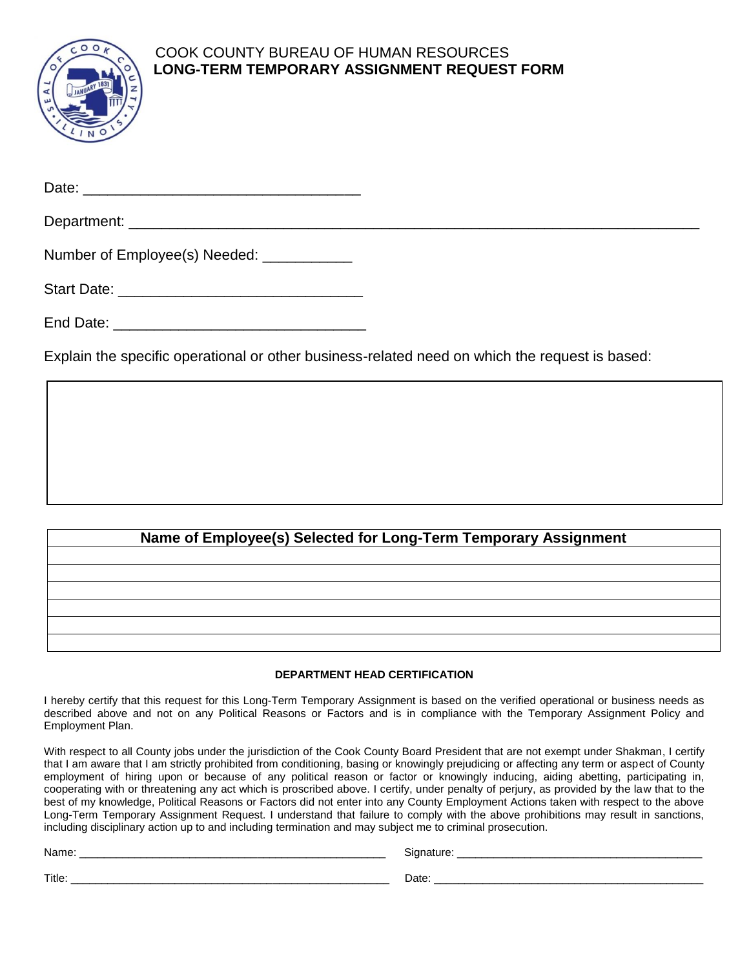

## COOK COUNTY BUREAU OF HUMAN RESOURCES **LONG-TERM TEMPORARY ASSIGNMENT REQUEST FORM**

| Date: |  |  |  |  |
|-------|--|--|--|--|
|       |  |  |  |  |

| D<br>ישע<br>. |  |  |  |
|---------------|--|--|--|
|               |  |  |  |

Number of Employee(s) Needed: \_\_\_\_\_\_\_\_\_\_\_

| <b>Start Date:</b> |  |
|--------------------|--|
|--------------------|--|

Explain the specific operational or other business-related need on which the request is based:

## **Name of Employee(s) Selected for Long-Term Temporary Assignment**

## **DEPARTMENT HEAD CERTIFICATION**

I hereby certify that this request for this Long-Term Temporary Assignment is based on the verified operational or business needs as described above and not on any Political Reasons or Factors and is in compliance with the Temporary Assignment Policy and Employment Plan.

With respect to all County jobs under the jurisdiction of the Cook County Board President that are not exempt under Shakman, I certify that I am aware that I am strictly prohibited from conditioning, basing or knowingly prejudicing or affecting any term or aspect of County employment of hiring upon or because of any political reason or factor or knowingly inducing, aiding abetting, participating in, cooperating with or threatening any act which is proscribed above. I certify, under penalty of perjury, as provided by the law that to the best of my knowledge, Political Reasons or Factors did not enter into any County Employment Actions taken with respect to the above Long-Term Temporary Assignment Request. I understand that failure to comply with the above prohibitions may result in sanctions, including disciplinary action up to and including termination and may subject me to criminal prosecution.

| <b>Name</b> | Signature |
|-------------|-----------|
|             |           |

| ignature: |  |
|-----------|--|
|           |  |

Title: \_\_\_\_\_\_\_\_\_\_\_\_\_\_\_\_\_\_\_\_\_\_\_\_\_\_\_\_\_\_\_\_\_\_\_\_\_\_\_\_\_\_\_\_\_\_\_\_\_\_\_\_ Date: \_\_\_\_\_\_\_\_\_\_\_\_\_\_\_\_\_\_\_\_\_\_\_\_\_\_\_\_\_\_\_\_\_\_\_\_\_\_\_\_\_\_\_\_